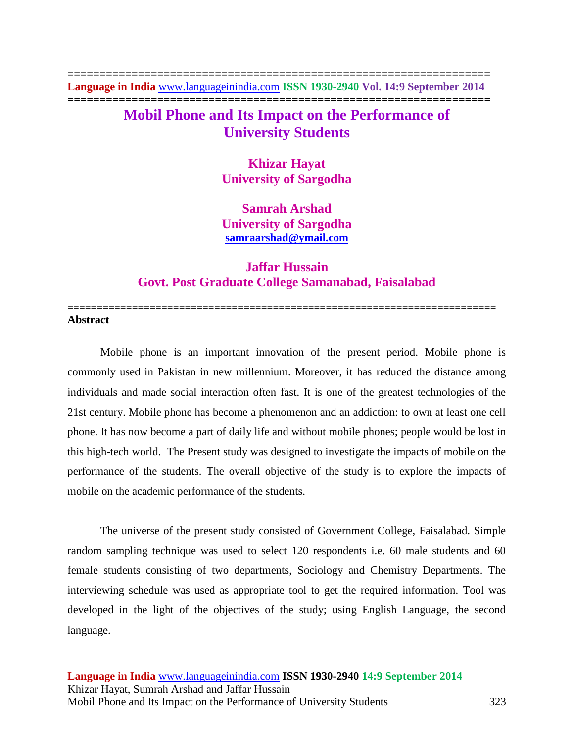**================================================================== Language in India** [www.languageinindia.com](http://www.languageinindia.com/) **ISSN 1930-2940 Vol. 14:9 September 2014 ==================================================================**

# **Mobil Phone and Its Impact on the Performance of University Students**

**Khizar Hayat University of Sargodha**

**Samrah Arshad University of Sargodha [samraarshad@ymail.com](mailto:samraarshad@ymail.com)**

## **Jaffar Hussain Govt. Post Graduate College Samanabad, Faisalabad**

**=========================================================================**

#### **Abstract**

Mobile phone is an important innovation of the present period. Mobile phone is commonly used in Pakistan in new millennium. Moreover, it has reduced the distance among individuals and made social interaction often fast. It is one of the greatest technologies of the 21st century. Mobile phone has become a phenomenon and an addiction: to own at least one cell phone. It has now become a part of daily life and without mobile phones; people would be lost in this high-tech world. The Present study was designed to investigate the impacts of mobile on the performance of the students. The overall objective of the study is to explore the impacts of mobile on the academic performance of the students.

The universe of the present study consisted of Government College, Faisalabad. Simple random sampling technique was used to select 120 respondents i.e. 60 male students and 60 female students consisting of two departments, Sociology and Chemistry Departments. The interviewing schedule was used as appropriate tool to get the required information. Tool was developed in the light of the objectives of the study; using English Language, the second language.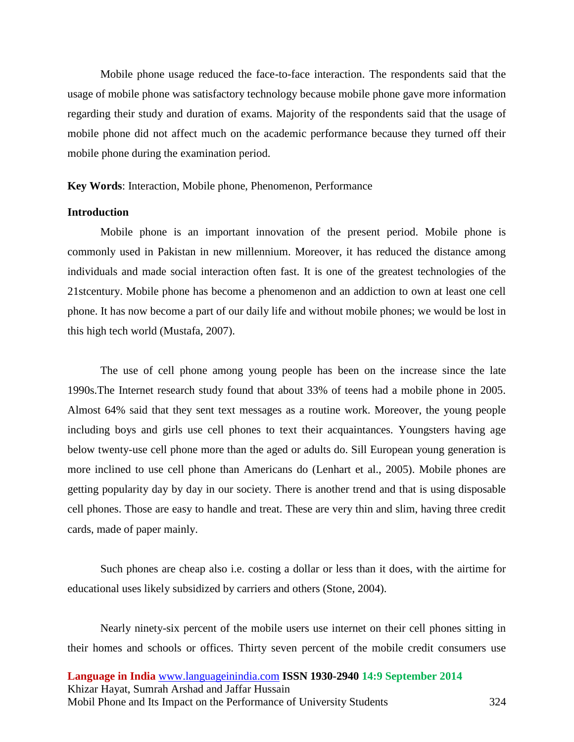Mobile phone usage reduced the face-to-face interaction. The respondents said that the usage of mobile phone was satisfactory technology because mobile phone gave more information regarding their study and duration of exams. Majority of the respondents said that the usage of mobile phone did not affect much on the academic performance because they turned off their mobile phone during the examination period.

#### **Key Words**: Interaction, Mobile phone, Phenomenon, Performance

#### **Introduction**

Mobile phone is an important innovation of the present period. Mobile phone is commonly used in Pakistan in new millennium. Moreover, it has reduced the distance among individuals and made social interaction often fast. It is one of the greatest technologies of the 21stcentury. Mobile phone has become a phenomenon and an addiction to own at least one cell phone. It has now become a part of our daily life and without mobile phones; we would be lost in this high tech world (Mustafa, 2007).

The use of cell phone among young people has been on the increase since the late 1990s.The Internet research study found that about 33% of teens had a mobile phone in 2005. Almost 64% said that they sent text messages as a routine work. Moreover, the young people including boys and girls use cell phones to text their acquaintances. Youngsters having age below twenty-use cell phone more than the aged or adults do. Sill European young generation is more inclined to use cell phone than Americans do (Lenhart et al., 2005). Mobile phones are getting popularity day by day in our society. There is another trend and that is using disposable cell phones. Those are easy to handle and treat. These are very thin and slim, having three credit cards, made of paper mainly.

Such phones are cheap also i.e. costing a dollar or less than it does, with the airtime for educational uses likely subsidized by carriers and others (Stone, 2004).

Nearly ninety-six percent of the mobile users use internet on their cell phones sitting in their homes and schools or offices. Thirty seven percent of the mobile credit consumers use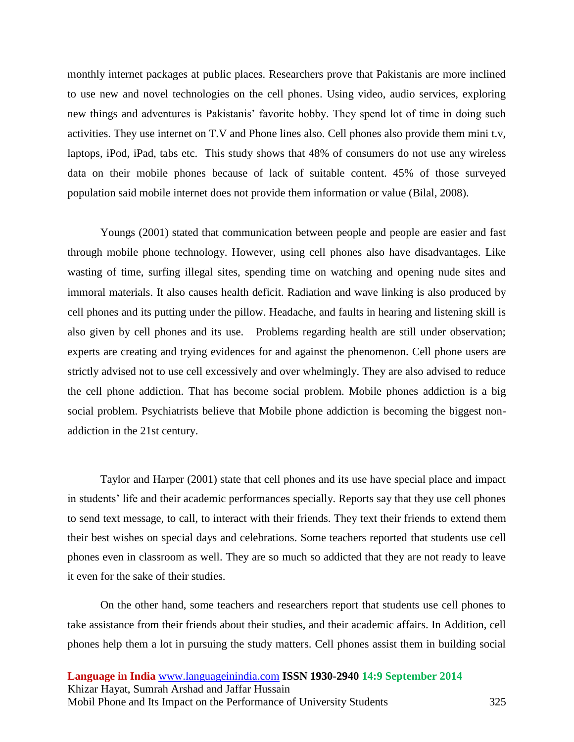monthly internet packages at public places. Researchers prove that Pakistanis are more inclined to use new and novel technologies on the cell phones. Using video, audio services, exploring new things and adventures is Pakistanis' favorite hobby. They spend lot of time in doing such activities. They use internet on T.V and Phone lines also. Cell phones also provide them mini t.v, laptops, iPod, iPad, tabs etc. This study shows that 48% of consumers do not use any wireless data on their mobile phones because of lack of suitable content. 45% of those surveyed population said mobile internet does not provide them information or value (Bilal, 2008).

Youngs (2001) stated that communication between people and people are easier and fast through mobile phone technology. However, using cell phones also have disadvantages. Like wasting of time, surfing illegal sites, spending time on watching and opening nude sites and immoral materials. It also causes health deficit. Radiation and wave linking is also produced by cell phones and its putting under the pillow. Headache, and faults in hearing and listening skill is also given by cell phones and its use. Problems regarding health are still under observation; experts are creating and trying evidences for and against the phenomenon. Cell phone users are strictly advised not to use cell excessively and over whelmingly. They are also advised to reduce the cell phone addiction. That has become social problem. Mobile phones addiction is a big social problem. Psychiatrists believe that Mobile phone addiction is becoming the biggest nonaddiction in the 21st century.

Taylor and Harper (2001) state that cell phones and its use have special place and impact in students' life and their academic performances specially. Reports say that they use cell phones to send text message, to call, to interact with their friends. They text their friends to extend them their best wishes on special days and celebrations. Some teachers reported that students use cell phones even in classroom as well. They are so much so addicted that they are not ready to leave it even for the sake of their studies.

On the other hand, some teachers and researchers report that students use cell phones to take assistance from their friends about their studies, and their academic affairs. In Addition, cell phones help them a lot in pursuing the study matters. Cell phones assist them in building social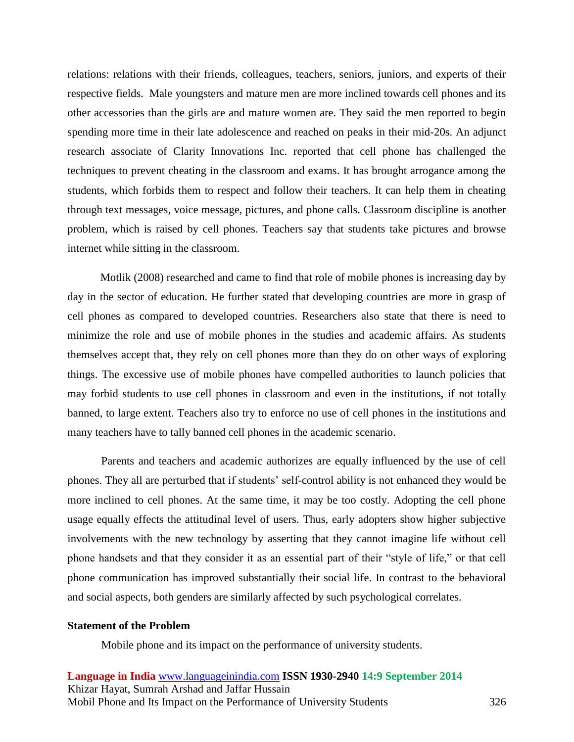relations: relations with their friends, colleagues, teachers, seniors, juniors, and experts of their respective fields. Male youngsters and mature men are more inclined towards cell phones and its other accessories than the girls are and mature women are. They said the men reported to begin spending more time in their late adolescence and reached on peaks in their mid-20s. An adjunct research associate of Clarity Innovations Inc. reported that cell phone has challenged the techniques to prevent cheating in the classroom and exams. It has brought arrogance among the students, which forbids them to respect and follow their teachers. It can help them in cheating through text messages, voice message, pictures, and phone calls. Classroom discipline is another problem, which is raised by cell phones. Teachers say that students take pictures and browse internet while sitting in the classroom.

Motlik (2008) researched and came to find that role of mobile phones is increasing day by day in the sector of education. He further stated that developing countries are more in grasp of cell phones as compared to developed countries. Researchers also state that there is need to minimize the role and use of mobile phones in the studies and academic affairs. As students themselves accept that, they rely on cell phones more than they do on other ways of exploring things. The excessive use of mobile phones have compelled authorities to launch policies that may forbid students to use cell phones in classroom and even in the institutions, if not totally banned, to large extent. Teachers also try to enforce no use of cell phones in the institutions and many teachers have to tally banned cell phones in the academic scenario.

Parents and teachers and academic authorizes are equally influenced by the use of cell phones. They all are perturbed that if students' self-control ability is not enhanced they would be more inclined to cell phones. At the same time, it may be too costly. Adopting the cell phone usage equally effects the attitudinal level of users. Thus, early adopters show higher subjective involvements with the new technology by asserting that they cannot imagine life without cell phone handsets and that they consider it as an essential part of their "style of life," or that cell phone communication has improved substantially their social life. In contrast to the behavioral and social aspects, both genders are similarly affected by such psychological correlates.

#### **Statement of the Problem**

Mobile phone and its impact on the performance of university students.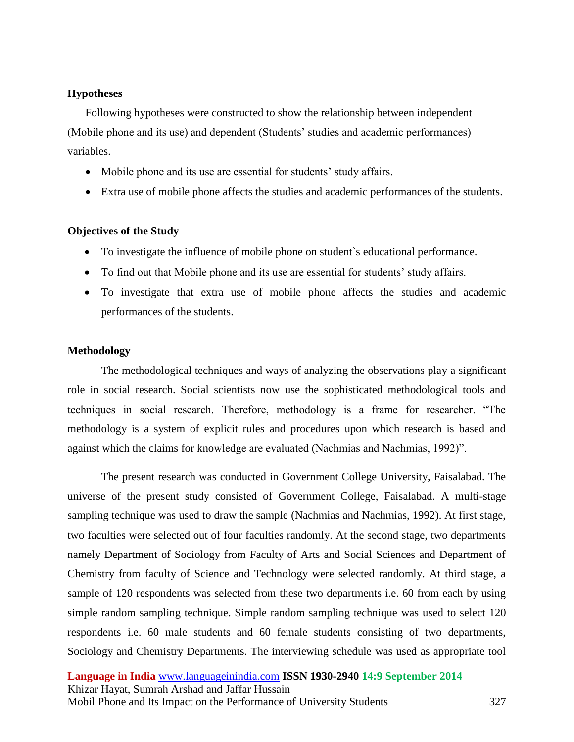## **Hypotheses**

Following hypotheses were constructed to show the relationship between independent (Mobile phone and its use) and dependent (Students' studies and academic performances) variables.

- Mobile phone and its use are essential for students' study affairs.
- Extra use of mobile phone affects the studies and academic performances of the students.

## **Objectives of the Study**

- To investigate the influence of mobile phone on student`s educational performance.
- To find out that Mobile phone and its use are essential for students' study affairs.
- To investigate that extra use of mobile phone affects the studies and academic performances of the students.

## **Methodology**

The methodological techniques and ways of analyzing the observations play a significant role in social research. Social scientists now use the sophisticated methodological tools and techniques in social research. Therefore, methodology is a frame for researcher. "The methodology is a system of explicit rules and procedures upon which research is based and against which the claims for knowledge are evaluated (Nachmias and Nachmias, 1992)".

The present research was conducted in Government College University, Faisalabad. The universe of the present study consisted of Government College, Faisalabad. A multi-stage sampling technique was used to draw the sample (Nachmias and Nachmias, 1992). At first stage, two faculties were selected out of four faculties randomly. At the second stage, two departments namely Department of Sociology from Faculty of Arts and Social Sciences and Department of Chemistry from faculty of Science and Technology were selected randomly. At third stage, a sample of 120 respondents was selected from these two departments i.e. 60 from each by using simple random sampling technique. Simple random sampling technique was used to select 120 respondents i.e. 60 male students and 60 female students consisting of two departments, Sociology and Chemistry Departments. The interviewing schedule was used as appropriate tool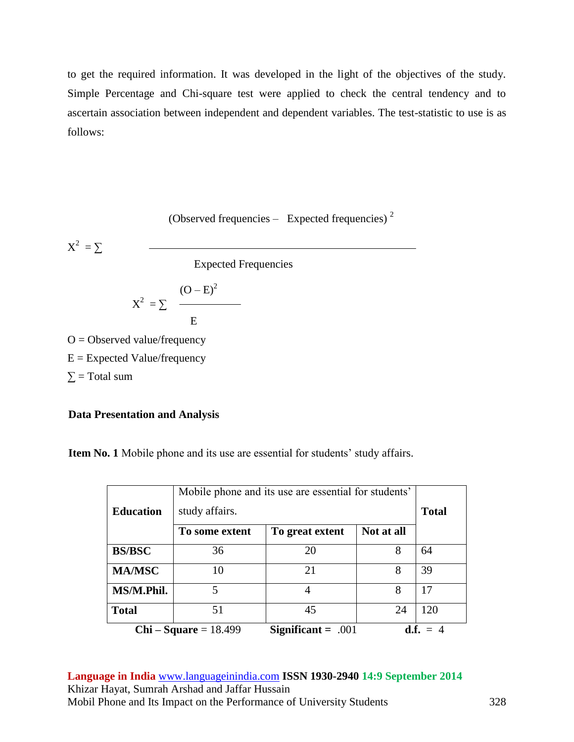to get the required information. It was developed in the light of the objectives of the study. Simple Percentage and Chi-square test were applied to check the central tendency and to ascertain association between independent and dependent variables. The test-statistic to use is as follows:

(Observed frequencies – Expected frequencies)
$$
^2
$$

 $X^2 = \sum$ 

Expected Frequencies

$$
X^2 = \sum \frac{(O - E)^2}{E}
$$

 $O = Observed value/frequency$  $E =$  Expected Value/frequency  $\Sigma$  = Total sum

## **Data Presentation and Analysis**

**Item No. 1** Mobile phone and its use are essential for students' study affairs.

| <b>Education</b>      | Mobile phone and its use are essential for students'<br>study affairs. |                      |            | <b>Total</b> |
|-----------------------|------------------------------------------------------------------------|----------------------|------------|--------------|
|                       | To some extent                                                         | To great extent      | Not at all |              |
| <b>BS/BSC</b>         | 36                                                                     | 20                   | 8          | 64           |
| <b>MA/MSC</b>         | 10                                                                     | 21                   | 8          | 39           |
| MS/M.Phil.            | 5                                                                      |                      | 8          | 17           |
| <b>Total</b>          | 51                                                                     | 45                   | 24         | 120          |
| $Chi-Square = 18.499$ |                                                                        | Significant = $.001$ | d.f.       |              |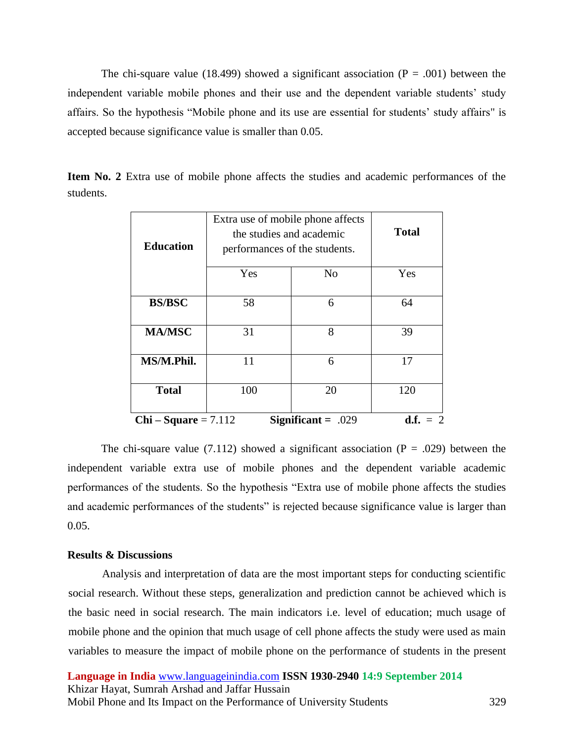The chi-square value (18.499) showed a significant association ( $P = .001$ ) between the independent variable mobile phones and their use and the dependent variable students' study affairs. So the hypothesis "Mobile phone and its use are essential for students' study affairs" is accepted because significance value is smaller than 0.05.

**Item No. 2** Extra use of mobile phone affects the studies and academic performances of the students.

|                                                                 | Extra use of mobile phone affects<br>the studies and academic |                | <b>Total</b> |  |
|-----------------------------------------------------------------|---------------------------------------------------------------|----------------|--------------|--|
| <b>Education</b>                                                | performances of the students.                                 |                |              |  |
|                                                                 | Yes                                                           | N <sub>o</sub> | Yes          |  |
| <b>BS/BSC</b>                                                   | 58                                                            | 6              | 64           |  |
| <b>MA/MSC</b>                                                   | 31                                                            | 8              | 39           |  |
| MS/M.Phil.                                                      | 11                                                            | 6              | 17           |  |
| <b>Total</b>                                                    | 100                                                           | 20             | 120          |  |
| Significant = $.029$<br>$Chi-Square = 7.112$<br><b>d.f.</b> = 2 |                                                               |                |              |  |

The chi-square value (7.112) showed a significant association ( $P = .029$ ) between the independent variable extra use of mobile phones and the dependent variable academic performances of the students. So the hypothesis "Extra use of mobile phone affects the studies and academic performances of the students" is rejected because significance value is larger than 0.05.

#### **Results & Discussions**

Analysis and interpretation of data are the most important steps for conducting scientific social research. Without these steps, generalization and prediction cannot be achieved which is the basic need in social research. The main indicators i.e. level of education; much usage of mobile phone and the opinion that much usage of cell phone affects the study were used as main variables to measure the impact of mobile phone on the performance of students in the present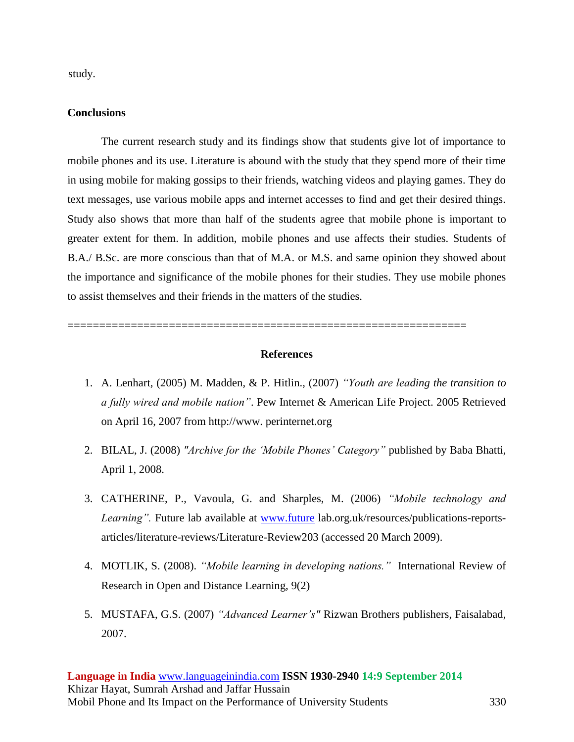study.

#### **Conclusions**

The current research study and its findings show that students give lot of importance to mobile phones and its use. Literature is abound with the study that they spend more of their time in using mobile for making gossips to their friends, watching videos and playing games. They do text messages, use various mobile apps and internet accesses to find and get their desired things. Study also shows that more than half of the students agree that mobile phone is important to greater extent for them. In addition, mobile phones and use affects their studies. Students of B.A./ B.Sc. are more conscious than that of M.A. or M.S. and same opinion they showed about the importance and significance of the mobile phones for their studies. They use mobile phones to assist themselves and their friends in the matters of the studies.

#### **References**

===============================================================

- 1. A. Lenhart, (2005) M. Madden, & P. Hitlin., (2007) *"Youth are leading the transition to a fully wired and mobile nation"*. Pew Internet & American Life Project. 2005 Retrieved on April 16, 2007 from http://www. perinternet.org
- 2. BILAL, J. (2008) *"Archive for the 'Mobile Phones' Category"* published by Baba Bhatti, April 1, 2008.
- 3. CATHERINE, P., Vavoula, G. and Sharples, M. (2006) *"Mobile technology and Learning".* Future lab available at [www.future](http://www.future/) lab.org.uk/resources/publications-reportsarticles/literature-reviews/Literature-Review203 (accessed 20 March 2009).
- 4. MOTLIK, S. (2008). *"Mobile learning in developing nations."* International Review of Research in Open and Distance Learning, 9(2)
- 5. MUSTAFA, G.S. (2007) *"Advanced Learner's"* Rizwan Brothers publishers, Faisalabad, 2007.